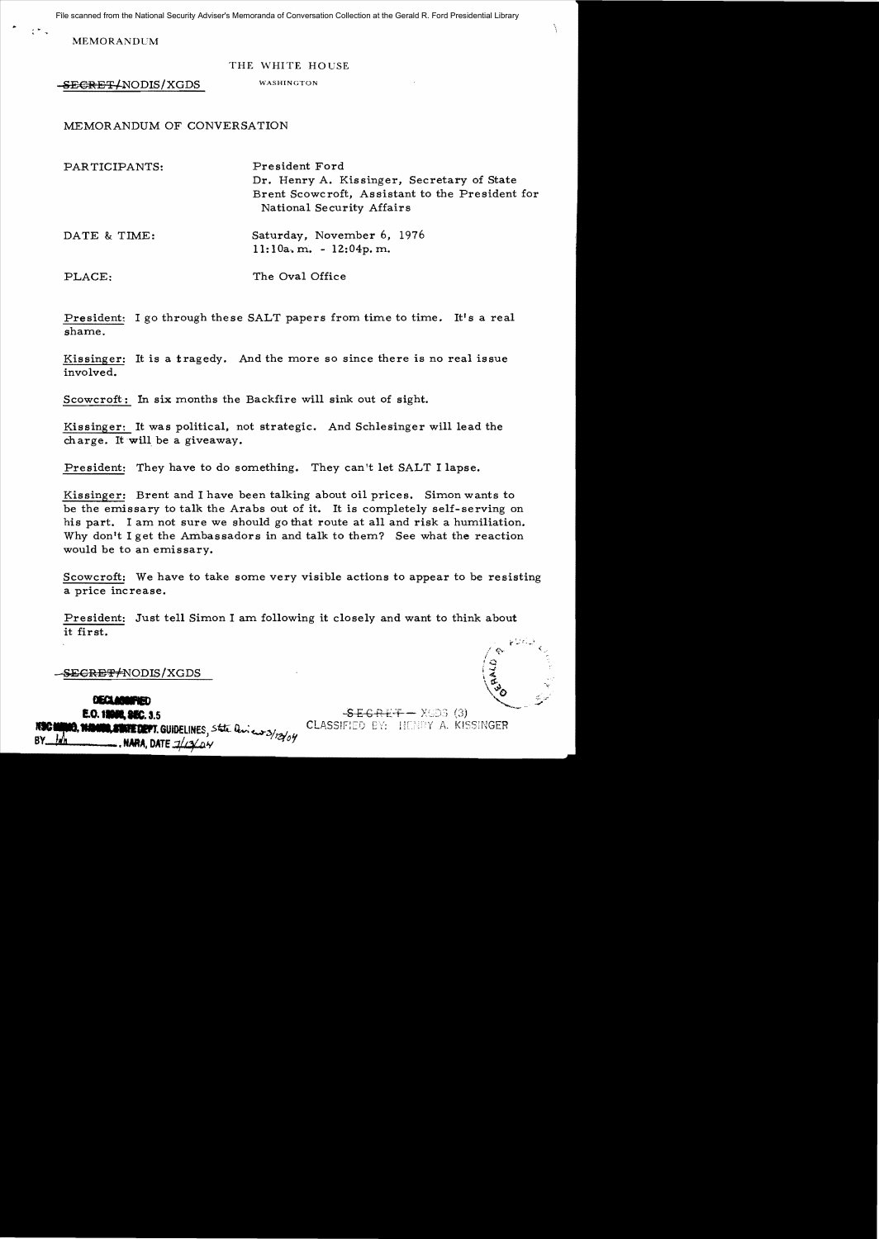File scanned from the National Security Adviser's Memoranda of Conversation Collection at the Gerald R. Ford Presidential Library

**MEMORANDUM** 

THE WHITE HOUSE

-SEGRET/NODIS/XGDS WASHINGTON

MEMORANDUM OF CONVERSATION

| PARTICIPANTS: | President Ford<br>Dr. Henry A. Kissinger, Secretary of State<br>Brent Scowcroft, Assistant to the President for<br>National Security Affairs |
|---------------|----------------------------------------------------------------------------------------------------------------------------------------------|
| DATE & TIME:  | Saturday, November 6, 1976<br>$11:10a$ , m. - $12:04p$ , m.                                                                                  |
| PLACE:        | The Oval Office                                                                                                                              |

President: I go through these SALT papers from time to time. It's a real shame.

Kissinger: It is a tragedy. And the more so since there is no real issue involved.

Scowcroft: In six months the Backfire will sink out of sight.

Kissinger: It was political, not strategic. And Schlesinger will lead the charge. It will be a giveaway.

President: They have to do something. They can't let SALT I lapse.

Kissinger: Brent and I have been talking about oil prices. Simon wants to be the emissary to talk the Arabs out of it. It is completely self-serving on his part. I am not sure we should go that route at all and risk a humiliation. Why don't I get the Ambassadors in and talk to them? See what the reaction would be to an emissary.

Scowcroft: We have to take some very visible actions to appear to be resisting a price increase.

President: Just tell Simon I am following it closely and want to think about it first.

SE<del>CRET/</del>NODIS/XGDS

## **DECLANDIFIED**

**E.O. 19900, SEC. 3.5** 

**CLASSIFIED BY: H** 

10, WARNING, SUIT GUIDELINES, State and europy <u>. lahi</u> ... , NARA, DATE *3/13/04*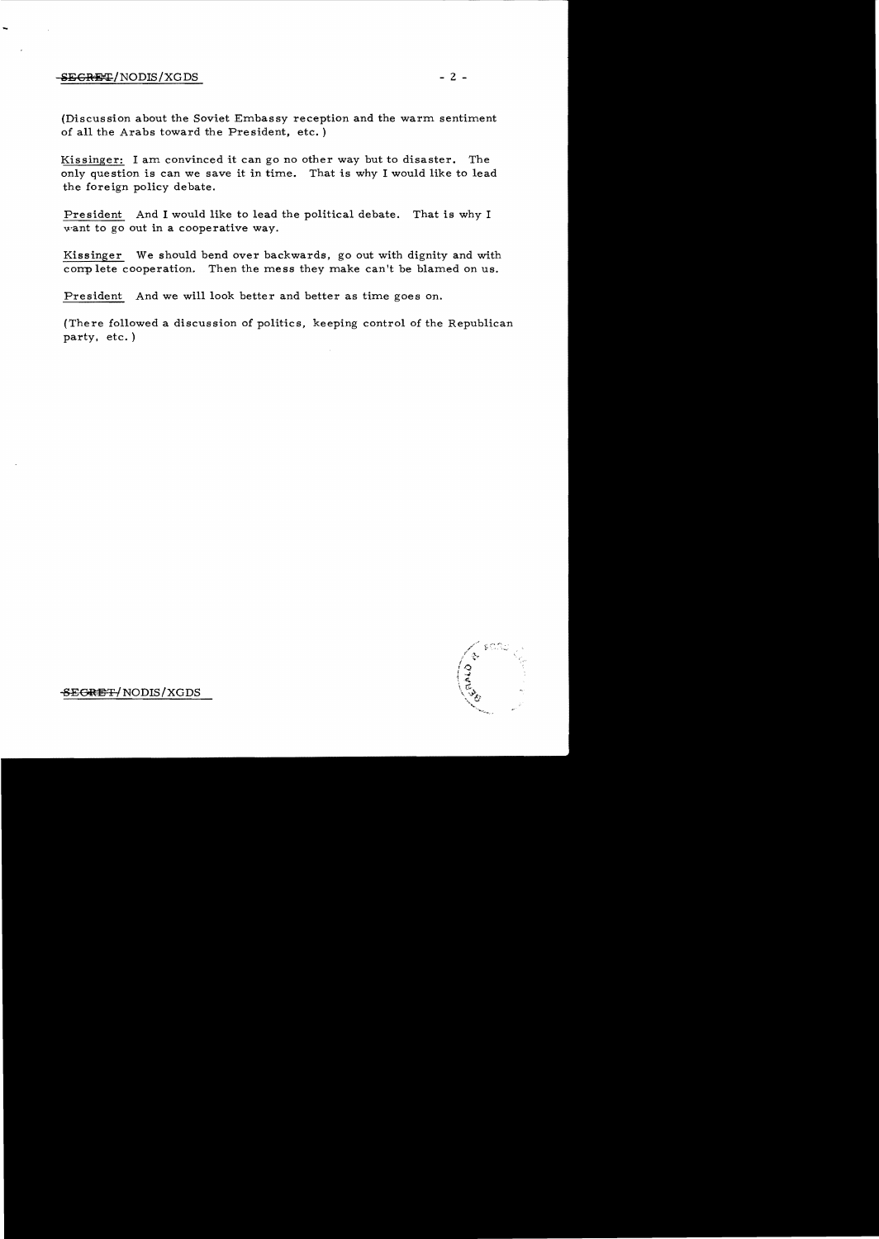## $-$ <del>SECRET</del>/NODIS/XGDS  $-$  2  $-$

(Discussion about the Soviet Embassy reception and the warm sentiment of all the Arabs toward the President, etc.)

Kissinger: I am convinced it can go no other way but to disaster. The only question is can we save it in time. That is why I would like to lead the foreign policy debate.

President And I would like to lead the political debate. That is why I want to go out in a cooperative way.

Kissinger We should bend over backwards, go out with dignity and with conp lete cooperation. Then the mess they make can't be blamed on us.

President And we will look better and better as time goes on.

(There followed a discussion of politics, keeping control of the Republican party. etc.)



SEGRET/NODIS/XGDS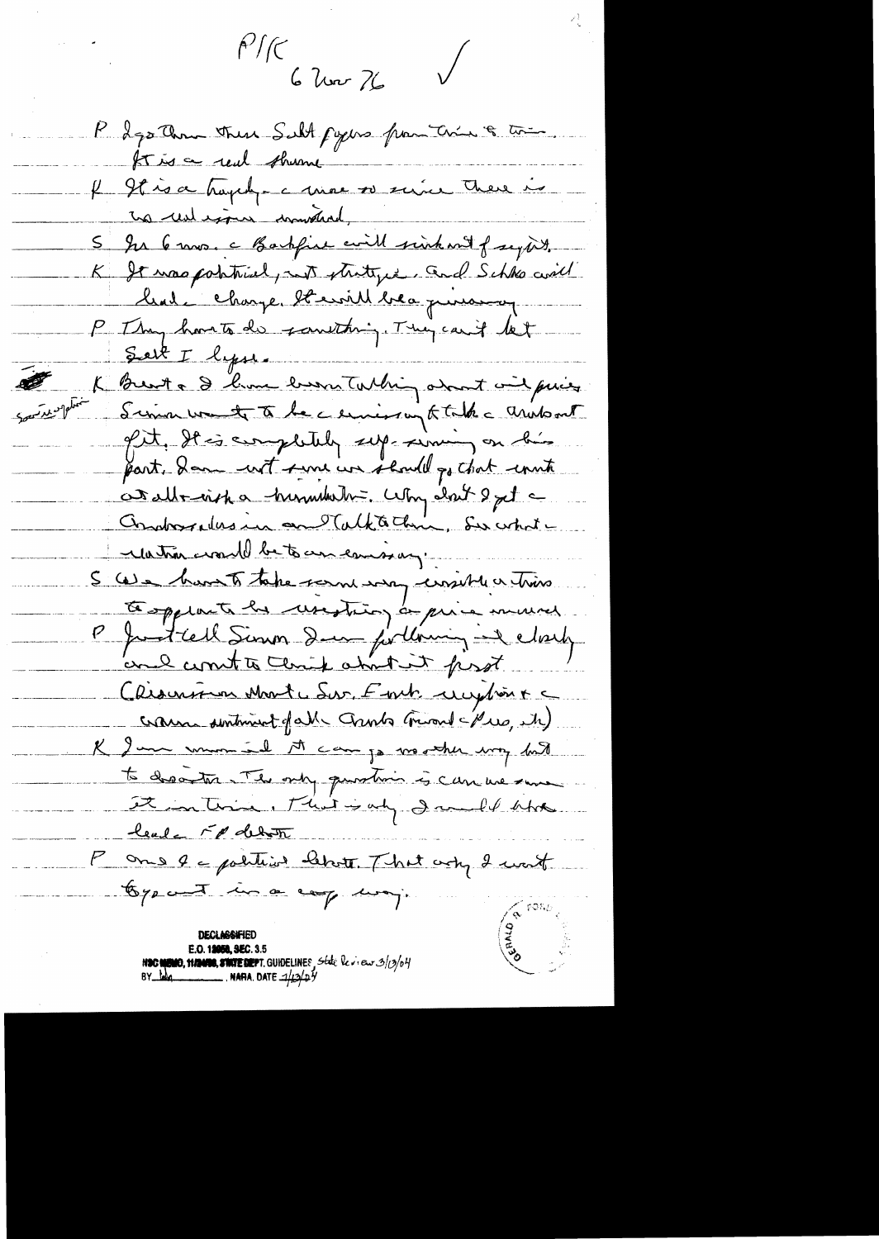$P/K$  6 Un  $Z$   $\sqrt{ }$ 

P 2 go Chron these Sult pages pointer 8 tri Atisce real shown 4 It is a trapper a moi se suive There is up und issue commented S In 6 more & Barbfine will sink mit of sylit. K It was pointed, not stritinger. and Schko avail lead Monge, l'essible bien personne, P. Thy houts de santhing, This can't let Seit I lysse .<br>Normal de extracta com composito celebrativamen K Bust a I bune burn Tolking about wind prices souvelles demander à la cercion aptitude andant ofit, It is completely sep-siming on this part, dan wit sure we should go that unit consultation a humandum why don't get Condresselles un an Calkte Chris, Sur what -Untra crossed beto cur camaray. S Cale bank to take ream way consider this ce opporte la cessain après mars P Justiell Simon Dur forthing is elsely Chisinemen Mont, Sur, Emb ruption + crain sintend of all Crists Trevard = Pres, it) K I we want to cam jo months way had to desates. The only question is can we same It in this. That say I will the <u>leade</u> Fp deton P one & a political liberty. That wing I want Expant in a cop major **DECLASSIFIED** E.O. 12058, SEC. 3.5 NOC NONO, 11794106, SWIEDEPT. GUIDELINES, State leview 3/3/3/04<br>BY Laly